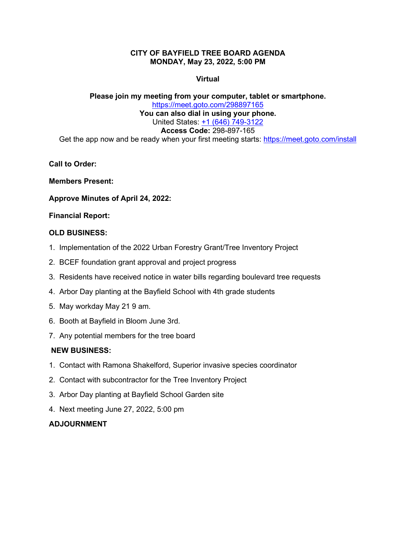# **CITY OF BAYFIELD TREE BOARD AGENDA MONDAY, May 23, 2022, 5:00 PM**

# **Virtual**

## **Please join my meeting from your computer, tablet or smartphone.** <https://meet.goto.com/298897165> **You can also dial in using your phone.** United States: [+1 \(646\) 749-3122](tel:+16467493122,,298897165) **Access Code:** 298-897-165 Get the app now and be ready when your first meeting starts: <https://meet.goto.com/install>

**Call to Order:**

**Members Present:**

**Approve Minutes of April 24, 2022:**

## **Financial Report:**

## **OLD BUSINESS:**

- 1. Implementation of the 2022 Urban Forestry Grant/Tree Inventory Project
- 2. BCEF foundation grant approval and project progress
- 3. Residents have received notice in water bills regarding boulevard tree requests
- 4. Arbor Day planting at the Bayfield School with 4th grade students
- 5. May workday May 21 9 am.
- 6. Booth at Bayfield in Bloom June 3rd.
- 7. Any potential members for the tree board

# **NEW BUSINESS:**

- 1. Contact with Ramona Shakelford, Superior invasive species coordinator
- 2. Contact with subcontractor for the Tree Inventory Project
- 3. Arbor Day planting at Bayfield School Garden site
- 4. Next meeting June 27, 2022, 5:00 pm

# **ADJOURNMENT**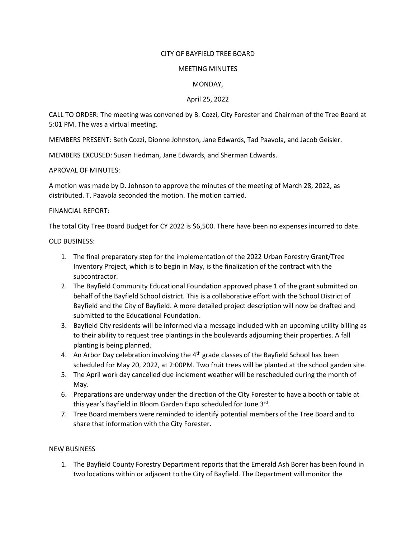#### CITY OF BAYFIELD TREE BOARD

#### MEETING MINUTES

### MONDAY,

### April 25, 2022

CALL TO ORDER: The meeting was convened by B. Cozzi, City Forester and Chairman of the Tree Board at 5:01 PM. The was a virtual meeting.

MEMBERS PRESENT: Beth Cozzi, Dionne Johnston, Jane Edwards, Tad Paavola, and Jacob Geisler.

MEMBERS EXCUSED: Susan Hedman, Jane Edwards, and Sherman Edwards.

APROVAL OF MINUTES:

A motion was made by D. Johnson to approve the minutes of the meeting of March 28, 2022, as distributed. T. Paavola seconded the motion. The motion carried.

### FINANCIAL REPORT:

The total City Tree Board Budget for CY 2022 is \$6,500. There have been no expenses incurred to date.

### OLD BUSINESS:

- 1. The final preparatory step for the implementation of the 2022 Urban Forestry Grant/Tree Inventory Project, which is to begin in May, is the finalization of the contract with the subcontractor.
- 2. The Bayfield Community Educational Foundation approved phase 1 of the grant submitted on behalf of the Bayfield School district. This is a collaborative effort with the School District of Bayfield and the City of Bayfield. A more detailed project description will now be drafted and submitted to the Educational Foundation.
- 3. Bayfield City residents will be informed via a message included with an upcoming utility billing as to their ability to request tree plantings in the boulevards adjourning their properties. A fall planting is being planned.
- 4. An Arbor Day celebration involving the  $4<sup>th</sup>$  grade classes of the Bayfield School has been scheduled for May 20, 2022, at 2:00PM. Two fruit trees will be planted at the school garden site.
- 5. The April work day cancelled due inclement weather will be rescheduled during the month of May.
- 6. Preparations are underway under the direction of the City Forester to have a booth or table at this year's Bayfield in Bloom Garden Expo scheduled for June 3rd.
- 7. Tree Board members were reminded to identify potential members of the Tree Board and to share that information with the City Forester.

# NEW BUSINESS

1. The Bayfield County Forestry Department reports that the Emerald Ash Borer has been found in two locations within or adjacent to the City of Bayfield. The Department will monitor the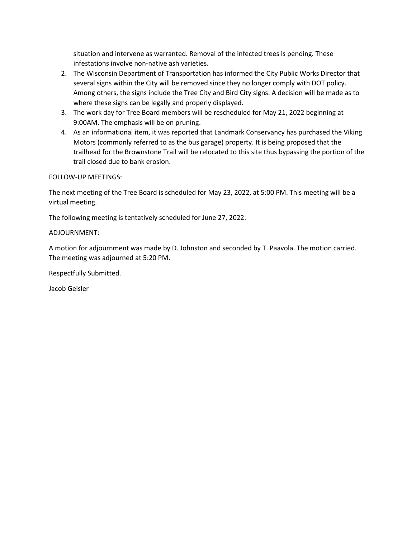situation and intervene as warranted. Removal of the infected trees is pending. These infestations involve non-native ash varieties.

- 2. The Wisconsin Department of Transportation has informed the City Public Works Director that several signs within the City will be removed since they no longer comply with DOT policy. Among others, the signs include the Tree City and Bird City signs. A decision will be made as to where these signs can be legally and properly displayed.
- 3. The work day for Tree Board members will be rescheduled for May 21, 2022 beginning at 9:00AM. The emphasis will be on pruning.
- 4. As an informational item, it was reported that Landmark Conservancy has purchased the Viking Motors (commonly referred to as the bus garage) property. It is being proposed that the trailhead for the Brownstone Trail will be relocated to this site thus bypassing the portion of the trail closed due to bank erosion.

## FOLLOW-UP MEETINGS:

The next meeting of the Tree Board is scheduled for May 23, 2022, at 5:00 PM. This meeting will be a virtual meeting.

The following meeting is tentatively scheduled for June 27, 2022.

## ADJOURNMENT:

A motion for adjournment was made by D. Johnston and seconded by T. Paavola. The motion carried. The meeting was adjourned at 5:20 PM.

Respectfully Submitted.

Jacob Geisler